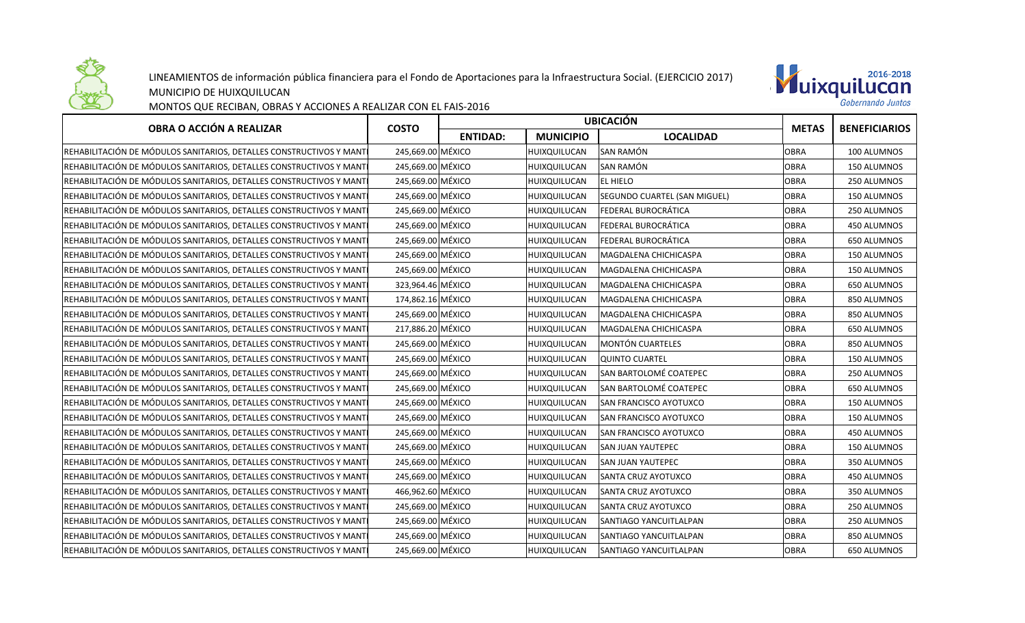

## LINEAMIENTOS de información pública financiera para el Fondo de Aportaciones para la Infraestructura Social. (EJERCICIO 2017)



MUNICIPIO DE HUIXQUILUCAN

## MONTOS QUE RECIBAN, OBRAS Y ACCIONES A REALIZAR CON EL FAIS-2016

| OBRA O ACCIÓN A REALIZAR                                             | <b>COSTO</b>      | <b>UBICACION</b> |                  |                               |              | <b>BENEFICIARIOS</b> |
|----------------------------------------------------------------------|-------------------|------------------|------------------|-------------------------------|--------------|----------------------|
|                                                                      |                   | <b>ENTIDAD:</b>  | <b>MUNICIPIO</b> | <b>LOCALIDAD</b>              | <b>METAS</b> |                      |
| REHABILITACIÓN DE MÓDULOS SANITARIOS, DETALLES CONSTRUCTIVOS Y MANTI | 245,669.00 MÉXICO |                  | HUIXQUILUCAN     | SAN RAMÓN                     | <b>OBRA</b>  | 100 ALUMNOS          |
| REHABILITACIÓN DE MÓDULOS SANITARIOS, DETALLES CONSTRUCTIVOS Y MANTI | 245,669.00 MÉXICO |                  | HUIXQUILUCAN     | <b>SAN RAMÓN</b>              | <b>OBRA</b>  | 150 ALUMNOS          |
| REHABILITACIÓN DE MÓDULOS SANITARIOS, DETALLES CONSTRUCTIVOS Y MANTI | 245,669.00 MÉXICO |                  | HUIXQUILUCAN     | <b>EL HIELO</b>               | <b>OBRA</b>  | 250 ALUMNOS          |
| REHABILITACIÓN DE MÓDULOS SANITARIOS, DETALLES CONSTRUCTIVOS Y MANTI | 245,669.00 MÉXICO |                  | HUIXQUILUCAN     | SEGUNDO CUARTEL (SAN MIGUEL)  | <b>OBRA</b>  | 150 ALUMNOS          |
| REHABILITACIÓN DE MÓDULOS SANITARIOS, DETALLES CONSTRUCTIVOS Y MANTI | 245,669.00 MÉXICO |                  | HUIXQUILUCAN     | <b>FEDERAL BUROCRÁTICA</b>    | <b>OBRA</b>  | 250 ALUMNOS          |
| REHABILITACIÓN DE MÓDULOS SANITARIOS, DETALLES CONSTRUCTIVOS Y MANT  | 245,669.00 MÉXICO |                  | HUIXQUILUCAN     | <b>FEDERAL BUROCRÁTICA</b>    | <b>OBRA</b>  | 450 ALUMNOS          |
| REHABILITACIÓN DE MÓDULOS SANITARIOS, DETALLES CONSTRUCTIVOS Y MANT  | 245,669.00 MÉXICO |                  | HUIXQUILUCAN     | <b>FEDERAL BUROCRÁTICA</b>    | <b>OBRA</b>  | 650 ALUMNOS          |
| REHABILITACIÓN DE MÓDULOS SANITARIOS, DETALLES CONSTRUCTIVOS Y MANTI | 245,669.00 MÉXICO |                  | HUIXQUILUCAN     | MAGDALENA CHICHICASPA         | <b>OBRA</b>  | 150 ALUMNOS          |
| REHABILITACIÓN DE MÓDULOS SANITARIOS, DETALLES CONSTRUCTIVOS Y MANTI | 245,669.00 MÉXICO |                  | HUIXQUILUCAN     | MAGDALENA CHICHICASPA         | <b>OBRA</b>  | 150 ALUMNOS          |
| REHABILITACIÓN DE MÓDULOS SANITARIOS, DETALLES CONSTRUCTIVOS Y MANTI | 323,964.46 MÉXICO |                  | HUIXQUILUCAN     | MAGDALENA CHICHICASPA         | <b>OBRA</b>  | 650 ALUMNOS          |
| REHABILITACIÓN DE MÓDULOS SANITARIOS, DETALLES CONSTRUCTIVOS Y MANTI | 174,862.16 MÉXICO |                  | HUIXQUILUCAN     | MAGDALENA CHICHICASPA         | <b>OBRA</b>  | 850 ALUMNOS          |
| REHABILITACIÓN DE MÓDULOS SANITARIOS, DETALLES CONSTRUCTIVOS Y MANTI | 245,669.00 MÉXICO |                  | HUIXQUILUCAN     | MAGDALENA CHICHICASPA         | <b>OBRA</b>  | 850 ALUMNOS          |
| REHABILITACIÓN DE MÓDULOS SANITARIOS, DETALLES CONSTRUCTIVOS Y MANTI | 217,886.20 MÉXICO |                  | HUIXQUILUCAN     | MAGDALENA CHICHICASPA         | <b>OBRA</b>  | 650 ALUMNOS          |
| REHABILITACIÓN DE MÓDULOS SANITARIOS, DETALLES CONSTRUCTIVOS Y MANTI | 245,669.00 MÉXICO |                  | HUIXQUILUCAN     | <b>MONTÓN CUARTELES</b>       | <b>OBRA</b>  | 850 ALUMNOS          |
| REHABILITACIÓN DE MÓDULOS SANITARIOS, DETALLES CONSTRUCTIVOS Y MANTI | 245,669.00 MÉXICO |                  | HUIXQUILUCAN     | QUINTO CUARTEL                | <b>OBRA</b>  | 150 ALUMNOS          |
| REHABILITACIÓN DE MÓDULOS SANITARIOS, DETALLES CONSTRUCTIVOS Y MANTI | 245,669.00 MÉXICO |                  | HUIXQUILUCAN     | SAN BARTOLOMÉ COATEPEC        | <b>OBRA</b>  | 250 ALUMNOS          |
| REHABILITACIÓN DE MÓDULOS SANITARIOS, DETALLES CONSTRUCTIVOS Y MANT  | 245,669.00 MÉXICO |                  | HUIXQUILUCAN     | SAN BARTOLOMÉ COATEPEC        | <b>OBRA</b>  | 650 ALUMNOS          |
| REHABILITACIÓN DE MÓDULOS SANITARIOS, DETALLES CONSTRUCTIVOS Y MANTI | 245,669.00 MÉXICO |                  | HUIXQUILUCAN     | <b>SAN FRANCISCO AYOTUXCO</b> | <b>OBRA</b>  | 150 ALUMNOS          |
| REHABILITACIÓN DE MÓDULOS SANITARIOS, DETALLES CONSTRUCTIVOS Y MANT  | 245,669.00 MÉXICO |                  | HUIXQUILUCAN     | <b>SAN FRANCISCO AYOTUXCO</b> | <b>OBRA</b>  | 150 ALUMNOS          |
| REHABILITACIÓN DE MÓDULOS SANITARIOS, DETALLES CONSTRUCTIVOS Y MANT  | 245,669.00 MÉXICO |                  | HUIXQUILUCAN     | <b>SAN FRANCISCO AYOTUXCO</b> | <b>OBRA</b>  | 450 ALUMNOS          |
| REHABILITACIÓN DE MÓDULOS SANITARIOS, DETALLES CONSTRUCTIVOS Y MANT  | 245,669.00 MÉXICO |                  | HUIXQUILUCAN     | <b>SAN JUAN YAUTEPEC</b>      | <b>OBRA</b>  | 150 ALUMNOS          |
| REHABILITACIÓN DE MÓDULOS SANITARIOS, DETALLES CONSTRUCTIVOS Y MANTI | 245,669.00 MÉXICO |                  | HUIXQUILUCAN     | <b>SAN JUAN YAUTEPEC</b>      | <b>OBRA</b>  | 350 ALUMNOS          |
| REHABILITACIÓN DE MÓDULOS SANITARIOS, DETALLES CONSTRUCTIVOS Y MANTI | 245,669.00 MÉXICO |                  | HUIXQUILUCAN     | ISANTA CRUZ AYOTUXCO          | <b>OBRA</b>  | 450 ALUMNOS          |
| REHABILITACIÓN DE MÓDULOS SANITARIOS, DETALLES CONSTRUCTIVOS Y MANTI | 466,962.60 MÉXICO |                  | HUIXQUILUCAN     | <b>SANTA CRUZ AYOTUXCO</b>    | <b>OBRA</b>  | 350 ALUMNOS          |
| REHABILITACIÓN DE MÓDULOS SANITARIOS, DETALLES CONSTRUCTIVOS Y MANTI | 245,669.00 MÉXICO |                  | HUIXQUILUCAN     | <b>SANTA CRUZ AYOTUXCO</b>    | <b>OBRA</b>  | 250 ALUMNOS          |
| REHABILITACIÓN DE MÓDULOS SANITARIOS, DETALLES CONSTRUCTIVOS Y MANTI | 245,669.00 MÉXICO |                  | HUIXQUILUCAN     | <b>SANTIAGO YANCUITLALPAN</b> | <b>OBRA</b>  | 250 ALUMNOS          |
| REHABILITACIÓN DE MÓDULOS SANITARIOS, DETALLES CONSTRUCTIVOS Y MANTI | 245,669.00 MÉXICO |                  | HUIXQUILUCAN     | <b>SANTIAGO YANCUITLALPAN</b> | <b>OBRA</b>  | 850 ALUMNOS          |
| REHABILITACIÓN DE MÓDULOS SANITARIOS, DETALLES CONSTRUCTIVOS Y MANTI | 245,669.00 MÉXICO |                  | HUIXQUILUCAN     | <b>SANTIAGO YANCUITLALPAN</b> | <b>OBRA</b>  | 650 ALUMNOS          |